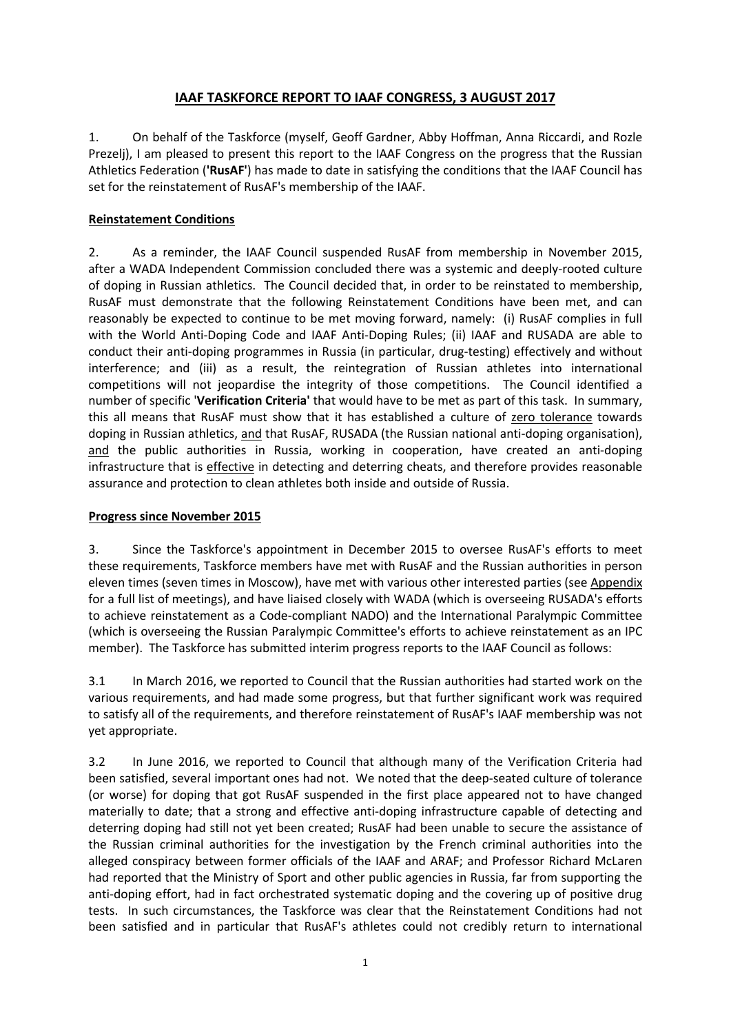# **IAAF TASKFORCE REPORT TO IAAF CONGRESS, 3 AUGUST 2017**

1. On behalf of the Taskforce (myself, Geoff Gardner, Abby Hoffman, Anna Riccardi, and Rozle Prezelj), I am pleased to present this report to the IAAF Congress on the progress that the Russian Athletics Federation (**'RusAF'**) has made to date in satisfying the conditions that the IAAF Council has set for the reinstatement of RusAF's membership of the IAAF.

# **Reinstatement Conditions**

2. As a reminder, the IAAF Council suspended RusAF from membership in November 2015, after a WADA Independent Commission concluded there was a systemic and deeply-rooted culture of doping in Russian athletics. The Council decided that, in order to be reinstated to membership, RusAF must demonstrate that the following Reinstatement Conditions have been met, and can reasonably be expected to continue to be met moving forward, namely: (i) RusAF complies in full with the World Anti-Doping Code and IAAF Anti-Doping Rules; (ii) IAAF and RUSADA are able to conduct their anti-doping programmes in Russia (in particular, drug-testing) effectively and without interference; and (iii) as a result, the reintegration of Russian athletes into international competitions will not jeopardise the integrity of those competitions. The Council identified a number of specific '**Verification Criteria'** that would have to be met as part of this task. In summary, this all means that RusAF must show that it has established a culture of zero tolerance towards doping in Russian athletics, and that RusAF, RUSADA (the Russian national anti-doping organisation), and the public authorities in Russia, working in cooperation, have created an anti-doping infrastructure that is effective in detecting and deterring cheats, and therefore provides reasonable assurance and protection to clean athletes both inside and outside of Russia.

## **Progress since November 2015**

3. Since the Taskforce's appointment in December 2015 to oversee RusAF's efforts to meet these requirements, Taskforce members have met with RusAF and the Russian authorities in person eleven times (seven times in Moscow), have met with various other interested parties (see Appendix for a full list of meetings), and have liaised closely with WADA (which is overseeing RUSADA's efforts to achieve reinstatement as a Code-compliant NADO) and the International Paralympic Committee (which is overseeing the Russian Paralympic Committee's efforts to achieve reinstatement as an IPC member). The Taskforce has submitted interim progress reports to the IAAF Council as follows:

3.1 In March 2016, we reported to Council that the Russian authorities had started work on the various requirements, and had made some progress, but that further significant work was required to satisfy all of the requirements, and therefore reinstatement of RusAF's IAAF membership was not yet appropriate.

3.2 In June 2016, we reported to Council that although many of the Verification Criteria had been satisfied, several important ones had not. We noted that the deep-seated culture of tolerance (or worse) for doping that got RusAF suspended in the first place appeared not to have changed materially to date; that a strong and effective anti-doping infrastructure capable of detecting and deterring doping had still not yet been created; RusAF had been unable to secure the assistance of the Russian criminal authorities for the investigation by the French criminal authorities into the alleged conspiracy between former officials of the IAAF and ARAF; and Professor Richard McLaren had reported that the Ministry of Sport and other public agencies in Russia, far from supporting the anti-doping effort, had in fact orchestrated systematic doping and the covering up of positive drug tests. In such circumstances, the Taskforce was clear that the Reinstatement Conditions had not been satisfied and in particular that RusAF's athletes could not credibly return to international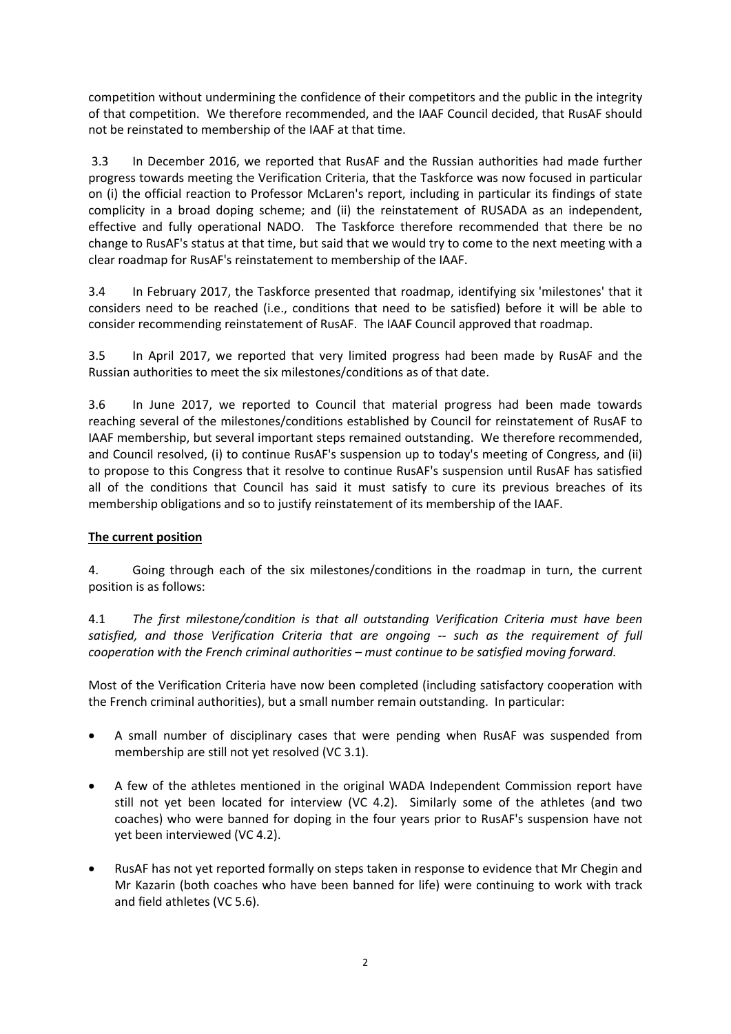competition without undermining the confidence of their competitors and the public in the integrity of that competition. We therefore recommended, and the IAAF Council decided, that RusAF should not be reinstated to membership of the IAAF at that time.

3.3 In December 2016, we reported that RusAF and the Russian authorities had made further progress towards meeting the Verification Criteria, that the Taskforce was now focused in particular on (i) the official reaction to Professor McLaren's report, including in particular its findings of state complicity in a broad doping scheme; and (ii) the reinstatement of RUSADA as an independent, effective and fully operational NADO. The Taskforce therefore recommended that there be no change to RusAF's status at that time, but said that we would try to come to the next meeting with a clear roadmap for RusAF's reinstatement to membership of the IAAF.

3.4 In February 2017, the Taskforce presented that roadmap, identifying six 'milestones' that it considers need to be reached (i.e., conditions that need to be satisfied) before it will be able to consider recommending reinstatement of RusAF. The IAAF Council approved that roadmap.

3.5 In April 2017, we reported that very limited progress had been made by RusAF and the Russian authorities to meet the six milestones/conditions as of that date.

3.6 In June 2017, we reported to Council that material progress had been made towards reaching several of the milestones/conditions established by Council for reinstatement of RusAF to IAAF membership, but several important steps remained outstanding. We therefore recommended, and Council resolved, (i) to continue RusAF's suspension up to today's meeting of Congress, and (ii) to propose to this Congress that it resolve to continue RusAF's suspension until RusAF has satisfied all of the conditions that Council has said it must satisfy to cure its previous breaches of its membership obligations and so to justify reinstatement of its membership of the IAAF.

## **The current position**

4. Going through each of the six milestones/conditions in the roadmap in turn, the current position is as follows:

4.1 *The first milestone/condition is that all outstanding Verification Criteria must have been satisfied, and those Verification Criteria that are ongoing -- such as the requirement of full cooperation with the French criminal authorities – must continue to be satisfied moving forward.*

Most of the Verification Criteria have now been completed (including satisfactory cooperation with the French criminal authorities), but a small number remain outstanding. In particular:

- A small number of disciplinary cases that were pending when RusAF was suspended from membership are still not yet resolved (VC 3.1).
- A few of the athletes mentioned in the original WADA Independent Commission report have still not yet been located for interview (VC 4.2). Similarly some of the athletes (and two coaches) who were banned for doping in the four years prior to RusAF's suspension have not yet been interviewed (VC 4.2).
- RusAF has not yet reported formally on steps taken in response to evidence that Mr Chegin and Mr Kazarin (both coaches who have been banned for life) were continuing to work with track and field athletes (VC 5.6).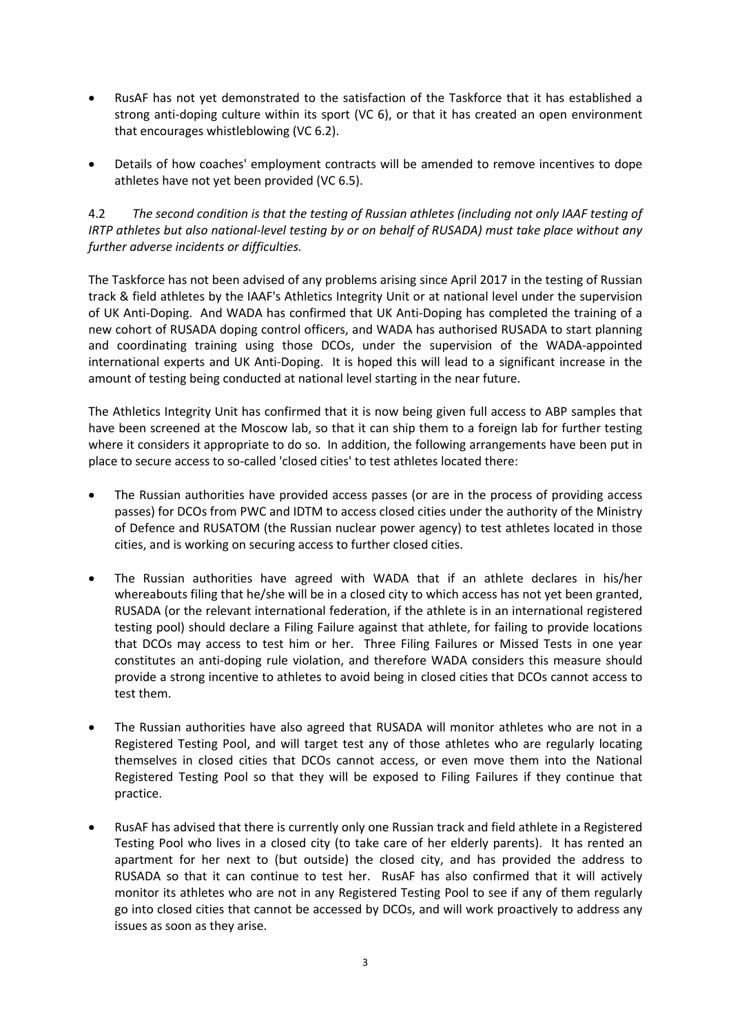- RusAF has not yet demonstrated to the satisfaction of the Taskforce that it has established a strong anti-doping culture within its sport (VC 6), or that it has created an open environment that encourages whistleblowing (VC 6.2).
- Details of how coaches' employment contracts will be amended to remove incentives to dope athletes have not yet been provided (VC 6.5).

4.2 *The second condition is that the testing of Russian athletes (including not only IAAF testing of IRTP athletes but also national-level testing by or on behalf of RUSADA) must take place without any further adverse incidents or difficulties.*

The Taskforce has not been advised of any problems arising since April 2017 in the testing of Russian track & field athletes by the IAAF's Athletics Integrity Unit or at national level under the supervision of UK Anti-Doping. And WADA has confirmed that UK Anti-Doping has completed the training of a new cohort of RUSADA doping control officers, and WADA has authorised RUSADA to start planning and coordinating training using those DCOs, under the supervision of the WADA-appointed international experts and UK Anti-Doping. It is hoped this will lead to a significant increase in the amount of testing being conducted at national level starting in the near future.

The Athletics Integrity Unit has confirmed that it is now being given full access to ABP samples that have been screened at the Moscow lab, so that it can ship them to a foreign lab for further testing where it considers it appropriate to do so. In addition, the following arrangements have been put in place to secure access to so-called 'closed cities' to test athletes located there:

- The Russian authorities have provided access passes (or are in the process of providing access passes) for DCOs from PWC and IDTM to access closed cities under the authority of the Ministry of Defence and RUSATOM (the Russian nuclear power agency) to test athletes located in those cities, and is working on securing access to further closed cities.
- The Russian authorities have agreed with WADA that if an athlete declares in his/her whereabouts filing that he/she will be in a closed city to which access has not yet been granted, RUSADA (or the relevant international federation, if the athlete is in an international registered testing pool) should declare a Filing Failure against that athlete, for failing to provide locations that DCOs may access to test him or her. Three Filing Failures or Missed Tests in one year constitutes an anti-doping rule violation, and therefore WADA considers this measure should provide a strong incentive to athletes to avoid being in closed cities that DCOs cannot access to test them.
- The Russian authorities have also agreed that RUSADA will monitor athletes who are not in a Registered Testing Pool, and will target test any of those athletes who are regularly locating themselves in closed cities that DCOs cannot access, or even move them into the National Registered Testing Pool so that they will be exposed to Filing Failures if they continue that practice.
- RusAF has advised that there is currently only one Russian track and field athlete in a Registered Testing Pool who lives in a closed city (to take care of her elderly parents). It has rented an apartment for her next to (but outside) the closed city, and has provided the address to RUSADA so that it can continue to test her. RusAF has also confirmed that it will actively monitor its athletes who are not in any Registered Testing Pool to see if any of them regularly go into closed cities that cannot be accessed by DCOs, and will work proactively to address any issues as soon as they arise.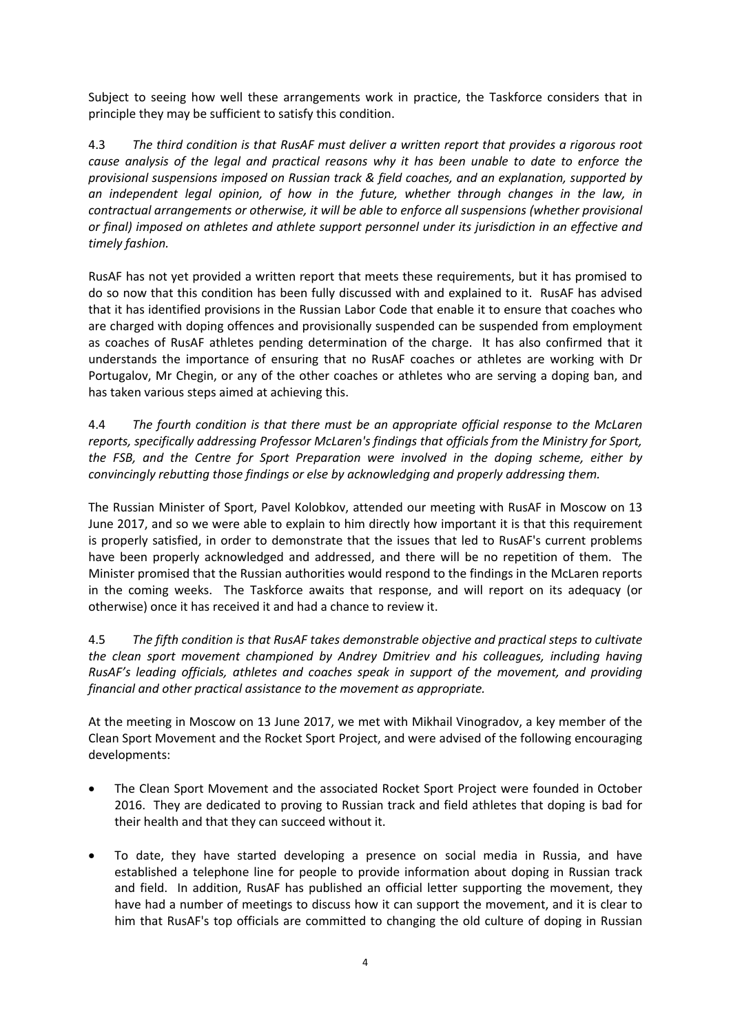Subject to seeing how well these arrangements work in practice, the Taskforce considers that in principle they may be sufficient to satisfy this condition.

4.3 *The third condition is that RusAF must deliver a written report that provides a rigorous root cause analysis of the legal and practical reasons why it has been unable to date to enforce the provisional suspensions imposed on Russian track & field coaches, and an explanation, supported by an independent legal opinion, of how in the future, whether through changes in the law, in contractual arrangements or otherwise, it will be able to enforce all suspensions (whether provisional or final) imposed on athletes and athlete support personnel under its jurisdiction in an effective and timely fashion.*

RusAF has not yet provided a written report that meets these requirements, but it has promised to do so now that this condition has been fully discussed with and explained to it. RusAF has advised that it has identified provisions in the Russian Labor Code that enable it to ensure that coaches who are charged with doping offences and provisionally suspended can be suspended from employment as coaches of RusAF athletes pending determination of the charge. It has also confirmed that it understands the importance of ensuring that no RusAF coaches or athletes are working with Dr Portugalov, Mr Chegin, or any of the other coaches or athletes who are serving a doping ban, and has taken various steps aimed at achieving this.

4.4 *The fourth condition is that there must be an appropriate official response to the McLaren reports, specifically addressing Professor McLaren's findings that officials from the Ministry for Sport, the FSB, and the Centre for Sport Preparation were involved in the doping scheme, either by convincingly rebutting those findings or else by acknowledging and properly addressing them.*

The Russian Minister of Sport, Pavel Kolobkov, attended our meeting with RusAF in Moscow on 13 June 2017, and so we were able to explain to him directly how important it is that this requirement is properly satisfied, in order to demonstrate that the issues that led to RusAF's current problems have been properly acknowledged and addressed, and there will be no repetition of them. The Minister promised that the Russian authorities would respond to the findings in the McLaren reports in the coming weeks. The Taskforce awaits that response, and will report on its adequacy (or otherwise) once it has received it and had a chance to review it.

4.5 *The fifth condition is that RusAF takes demonstrable objective and practical steps to cultivate the clean sport movement championed by Andrey Dmitriev and his colleagues, including having RusAF's leading officials, athletes and coaches speak in support of the movement, and providing financial and other practical assistance to the movement as appropriate.*

At the meeting in Moscow on 13 June 2017, we met with Mikhail Vinogradov, a key member of the Clean Sport Movement and the Rocket Sport Project, and were advised of the following encouraging developments:

- The Clean Sport Movement and the associated Rocket Sport Project were founded in October 2016. They are dedicated to proving to Russian track and field athletes that doping is bad for their health and that they can succeed without it.
- To date, they have started developing a presence on social media in Russia, and have established a telephone line for people to provide information about doping in Russian track and field. In addition, RusAF has published an official letter supporting the movement, they have had a number of meetings to discuss how it can support the movement, and it is clear to him that RusAF's top officials are committed to changing the old culture of doping in Russian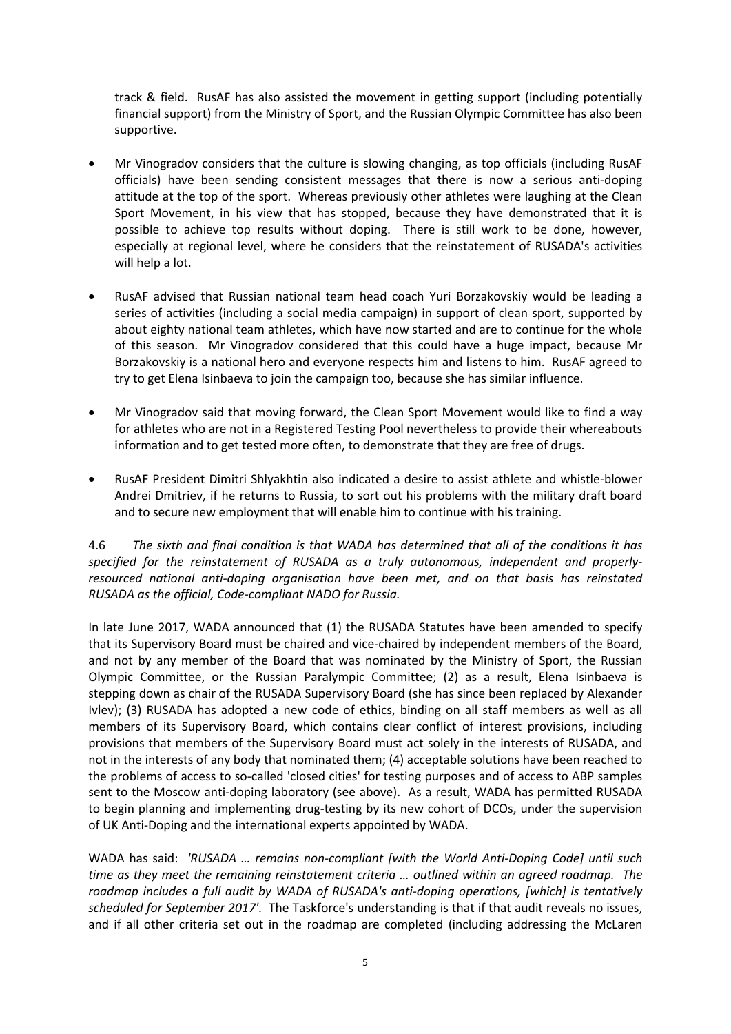track & field. RusAF has also assisted the movement in getting support (including potentially financial support) from the Ministry of Sport, and the Russian Olympic Committee has also been supportive.

- Mr Vinogradov considers that the culture is slowing changing, as top officials (including RusAF officials) have been sending consistent messages that there is now a serious anti-doping attitude at the top of the sport. Whereas previously other athletes were laughing at the Clean Sport Movement, in his view that has stopped, because they have demonstrated that it is possible to achieve top results without doping. There is still work to be done, however, especially at regional level, where he considers that the reinstatement of RUSADA's activities will help a lot.
- RusAF advised that Russian national team head coach Yuri Borzakovskiy would be leading a series of activities (including a social media campaign) in support of clean sport, supported by about eighty national team athletes, which have now started and are to continue for the whole of this season. Mr Vinogradov considered that this could have a huge impact, because Mr Borzakovskiy is a national hero and everyone respects him and listens to him. RusAF agreed to try to get Elena Isinbaeva to join the campaign too, because she has similar influence.
- Mr Vinogradov said that moving forward, the Clean Sport Movement would like to find a way for athletes who are not in a Registered Testing Pool nevertheless to provide their whereabouts information and to get tested more often, to demonstrate that they are free of drugs.
- RusAF President Dimitri Shlyakhtin also indicated a desire to assist athlete and whistle-blower Andrei Dmitriev, if he returns to Russia, to sort out his problems with the military draft board and to secure new employment that will enable him to continue with his training.

4.6 *The sixth and final condition is that WADA has determined that all of the conditions it has specified for the reinstatement of RUSADA as a truly autonomous, independent and properlyresourced national anti-doping organisation have been met, and on that basis has reinstated RUSADA as the official, Code-compliant NADO for Russia.* 

In late June 2017, WADA announced that (1) the RUSADA Statutes have been amended to specify that its Supervisory Board must be chaired and vice-chaired by independent members of the Board, and not by any member of the Board that was nominated by the Ministry of Sport, the Russian Olympic Committee, or the Russian Paralympic Committee; (2) as a result, Elena Isinbaeva is stepping down as chair of the RUSADA Supervisory Board (she has since been replaced by Alexander Ivlev); (3) RUSADA has adopted a new code of ethics, binding on all staff members as well as all members of its Supervisory Board, which contains clear conflict of interest provisions, including provisions that members of the Supervisory Board must act solely in the interests of RUSADA, and not in the interests of any body that nominated them; (4) acceptable solutions have been reached to the problems of access to so-called 'closed cities' for testing purposes and of access to ABP samples sent to the Moscow anti-doping laboratory (see above). As a result, WADA has permitted RUSADA to begin planning and implementing drug-testing by its new cohort of DCOs, under the supervision of UK Anti-Doping and the international experts appointed by WADA.

WADA has said: *'RUSADA … remains non-compliant [with the World Anti-Doping Code] until such time as they meet the remaining reinstatement criteria … outlined within an agreed roadmap. The roadmap includes a full audit by WADA of RUSADA's anti-doping operations, [which] is tentatively scheduled for September 2017'*. The Taskforce's understanding is that if that audit reveals no issues, and if all other criteria set out in the roadmap are completed (including addressing the McLaren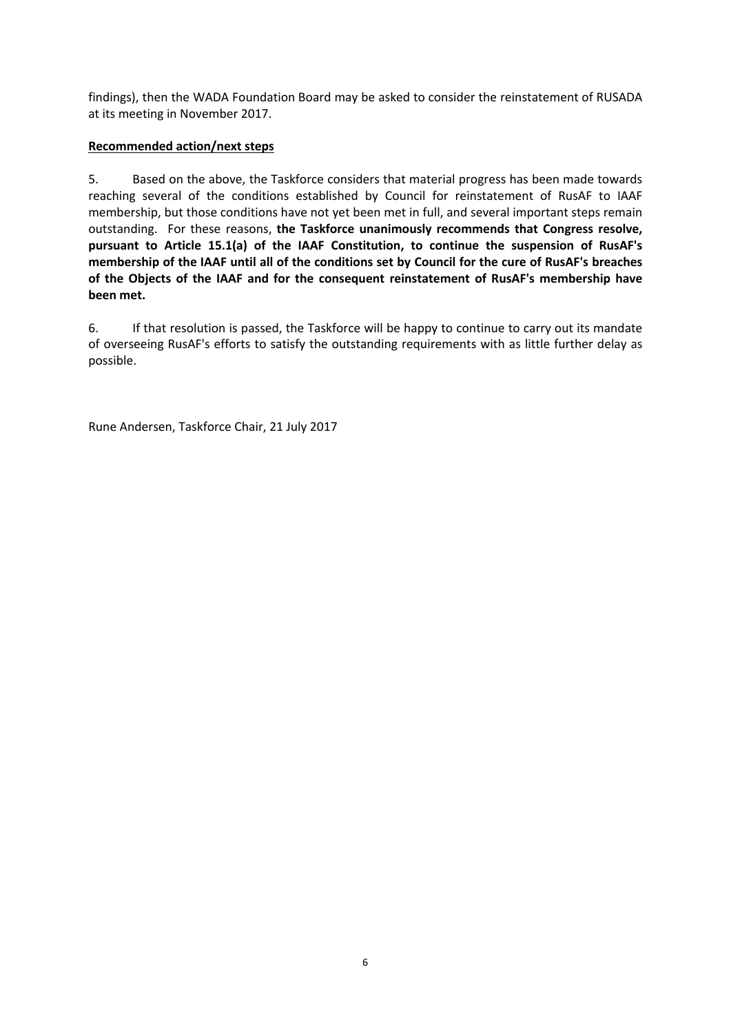findings), then the WADA Foundation Board may be asked to consider the reinstatement of RUSADA at its meeting in November 2017.

#### **Recommended action/next steps**

5. Based on the above, the Taskforce considers that material progress has been made towards reaching several of the conditions established by Council for reinstatement of RusAF to IAAF membership, but those conditions have not yet been met in full, and several important steps remain outstanding. For these reasons, **the Taskforce unanimously recommends that Congress resolve, pursuant to Article 15.1(a) of the IAAF Constitution, to continue the suspension of RusAF's membership of the IAAF until all of the conditions set by Council for the cure of RusAF's breaches of the Objects of the IAAF and for the consequent reinstatement of RusAF's membership have been met.**

6. If that resolution is passed, the Taskforce will be happy to continue to carry out its mandate of overseeing RusAF's efforts to satisfy the outstanding requirements with as little further delay as possible.

Rune Andersen, Taskforce Chair, 21 July 2017